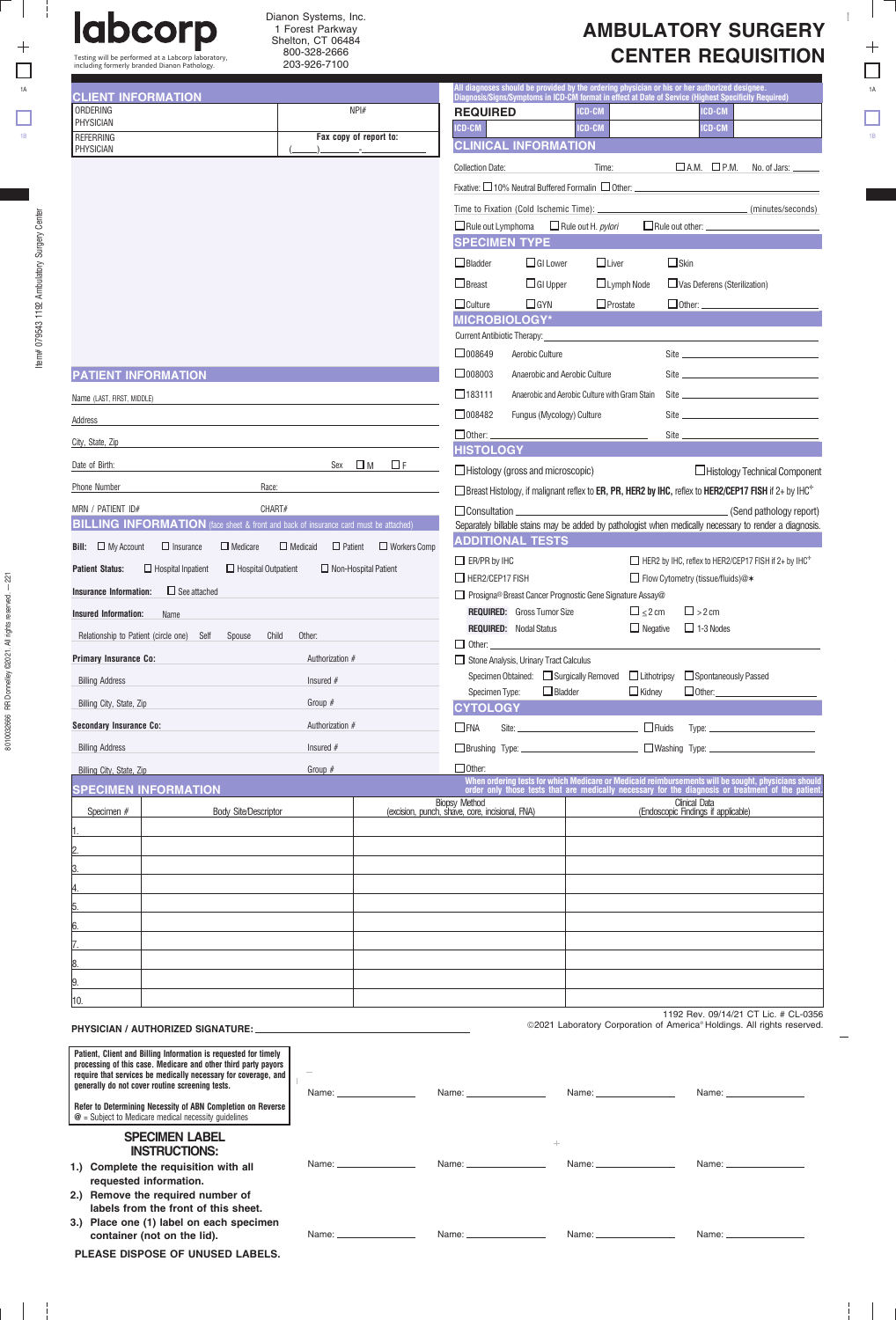$\Box$ 

 $\Box$   $\Box$ 

Testing will be performed at a Labcorp laboratory, including formerly branded Dianon Pathology.

8010032666 RR Donnelley ©2021. All rights reserved. 8010032666 RR Donnelley ©2021. All rights reserved. - 221

 $-1 - 1$ 

| <b>AMBULATORY SURGERY</b> |  |
|---------------------------|--|
| <b>CENTER REQUISITION</b> |  |

8010032666

 $\frac{1}{2}$  $\Box$ 

 $\Box$ 

 $\pm$   $\pm$ 

Ξ  $\mathbf{I}$ 

| <b>CLIENT INFORMATION</b>                                                                   |                                                                                                                                                                                                     |                              |                                                    |                                                                                                                                                                                                                                                                              |                                                 | All diagnoses should be provided by the ordering physician or his or her authorized designee.<br>Diagnosis/Signs/Symptoms in ICD-CM format in effect at Date of Service (Highest Specificity Required)    |                                                                   |                                                          |  |  |
|---------------------------------------------------------------------------------------------|-----------------------------------------------------------------------------------------------------------------------------------------------------------------------------------------------------|------------------------------|----------------------------------------------------|------------------------------------------------------------------------------------------------------------------------------------------------------------------------------------------------------------------------------------------------------------------------------|-------------------------------------------------|-----------------------------------------------------------------------------------------------------------------------------------------------------------------------------------------------------------|-------------------------------------------------------------------|----------------------------------------------------------|--|--|
| ORDERING<br>PHYSICIAN                                                                       |                                                                                                                                                                                                     |                              | NPI#                                               | <b>REQUIRED</b>                                                                                                                                                                                                                                                              |                                                 | ICD-CM                                                                                                                                                                                                    | ICD-CM                                                            |                                                          |  |  |
| REFERRING                                                                                   |                                                                                                                                                                                                     |                              | Fax copy of report to:                             | ICD-CM                                                                                                                                                                                                                                                                       | <b>CLINICAL INFORMATION</b>                     | ICD-CM                                                                                                                                                                                                    | <b>ICD-CM</b>                                                     |                                                          |  |  |
| PHYSICIAN                                                                                   |                                                                                                                                                                                                     |                              |                                                    |                                                                                                                                                                                                                                                                              |                                                 |                                                                                                                                                                                                           |                                                                   | $\Box$ A.M. $\Box$ P.M. No. of Jars: $\_\_\_\_\_\_\_\_\$ |  |  |
|                                                                                             |                                                                                                                                                                                                     |                              |                                                    | <b>Collection Date:</b>                                                                                                                                                                                                                                                      |                                                 | Time:                                                                                                                                                                                                     |                                                                   |                                                          |  |  |
|                                                                                             |                                                                                                                                                                                                     |                              |                                                    | Fixative: $\Box$ 10% Neutral Buffered Formalin $\Box$ Other: $\Box$ 2011 2012 2012 2012 2013 2014 2014 2015 2016 2017 2018 2019 2014 2015 2016 2017 2018 2019 2017 2018 2019 2017 2018 2019 2017 2018 2019 2014 2016 2017 2018 2019                                          |                                                 |                                                                                                                                                                                                           |                                                                   |                                                          |  |  |
|                                                                                             |                                                                                                                                                                                                     |                              |                                                    |                                                                                                                                                                                                                                                                              |                                                 | $\Box$ Rule out Lymphoma $\Box$ Rule out H. <i>pylori</i>                                                                                                                                                 |                                                                   |                                                          |  |  |
|                                                                                             |                                                                                                                                                                                                     |                              |                                                    |                                                                                                                                                                                                                                                                              | <b>SPECIMEN TYPE</b>                            |                                                                                                                                                                                                           |                                                                   |                                                          |  |  |
|                                                                                             |                                                                                                                                                                                                     |                              |                                                    | $\Box$ Bladder                                                                                                                                                                                                                                                               | $\Box$ GI Lower                                 | $\Box$ Liver                                                                                                                                                                                              | $\Box$ Skin                                                       |                                                          |  |  |
|                                                                                             |                                                                                                                                                                                                     |                              |                                                    | $\Box$ Breast                                                                                                                                                                                                                                                                | $\Box$ GI Upper                                 | $\Box$ Lymph Node                                                                                                                                                                                         | Vas Deferens (Sterilization)                                      |                                                          |  |  |
|                                                                                             |                                                                                                                                                                                                     |                              |                                                    | $\Box$ Culture                                                                                                                                                                                                                                                               | $\square$ GYN                                   | $\Box$ Prostate                                                                                                                                                                                           |                                                                   |                                                          |  |  |
|                                                                                             |                                                                                                                                                                                                     |                              |                                                    | <b>Current Antibiotic Therapy:</b>                                                                                                                                                                                                                                           | <b>MICROBIOLOGY*</b>                            |                                                                                                                                                                                                           |                                                                   |                                                          |  |  |
|                                                                                             |                                                                                                                                                                                                     |                              |                                                    | $\Box$ 008649                                                                                                                                                                                                                                                                | Aerobic Culture                                 |                                                                                                                                                                                                           |                                                                   |                                                          |  |  |
| <b>PATIENT INFORMATION</b>                                                                  | $\square$ 008003<br>Anaerobic and Aerobic Culture                                                                                                                                                   |                              |                                                    |                                                                                                                                                                                                                                                                              |                                                 |                                                                                                                                                                                                           |                                                                   |                                                          |  |  |
| Name (LAST, FIRST, MIDDLE)                                                                  |                                                                                                                                                                                                     |                              |                                                    | $\Box$ 183111<br>Anaerobic and Aerobic Culture with Gram Stain                                                                                                                                                                                                               |                                                 |                                                                                                                                                                                                           |                                                                   |                                                          |  |  |
| Address                                                                                     |                                                                                                                                                                                                     |                              |                                                    | $\Box$ 008482<br>Site and the state of the state of the state of the state of the state of the state of the state of the state of the state of the state of the state of the state of the state of the state of the state of the state of the s<br>Fungus (Mycology) Culture |                                                 |                                                                                                                                                                                                           |                                                                   |                                                          |  |  |
| City, State, Zip                                                                            |                                                                                                                                                                                                     |                              |                                                    | $\Box$ Other: $\_\_$                                                                                                                                                                                                                                                         |                                                 |                                                                                                                                                                                                           |                                                                   |                                                          |  |  |
| Date of Birth:                                                                              |                                                                                                                                                                                                     |                              | Sex $\Box$ M $\Box$ F                              | <b>HISTOLOGY</b>                                                                                                                                                                                                                                                             |                                                 |                                                                                                                                                                                                           |                                                                   |                                                          |  |  |
|                                                                                             |                                                                                                                                                                                                     |                              |                                                    | $\Box$ Histology (gross and microscopic)<br>□ Histology Technical Component                                                                                                                                                                                                  |                                                 |                                                                                                                                                                                                           |                                                                   |                                                          |  |  |
|                                                                                             | Phone Number<br>Race:                                                                                                                                                                               |                              |                                                    |                                                                                                                                                                                                                                                                              |                                                 | $\Box$ Breast Histology, if malignant reflex to ER, PR, HER2 by IHC, reflex to HER2/CEP17 FISH if 2+ by IHC <sup>++</sup>                                                                                 |                                                                   |                                                          |  |  |
| MRN / PATIENT ID#                                                                           | CHART#<br><b>BILLING INFORMATION</b> (face sheet & front and back of insurance card must be attached)                                                                                               |                              |                                                    |                                                                                                                                                                                                                                                                              |                                                 | Separately billable stains may be added by pathologist when medically necessary to render a diagnosis.                                                                                                    |                                                                   |                                                          |  |  |
| <b>Bill:</b> $\Box$ My Account                                                              | $\Box$ Insurance<br>$\Box$ Medicare                                                                                                                                                                 |                              | $\Box$ Medicaid $\Box$ Patient $\Box$ Workers Comp |                                                                                                                                                                                                                                                                              | <b>ADDITIONAL TESTS</b>                         |                                                                                                                                                                                                           |                                                                   |                                                          |  |  |
| <b>Patient Status:</b>                                                                      | $\Box$ Hospital Inpatient<br>$\Box$ Hospital Outpatient                                                                                                                                             |                              | $\Box$ Non-Hospital Patient                        | $\Box$ ER/PR by IHC                                                                                                                                                                                                                                                          |                                                 |                                                                                                                                                                                                           | HER2 by IHC, reflex to HER2/CEP17 FISH if 2+ by IHC <sup>++</sup> |                                                          |  |  |
| <b>Insurance Information:</b> $\Box$ See attached                                           |                                                                                                                                                                                                     |                              |                                                    | $\Box$ HER2/CEP17 FISH                                                                                                                                                                                                                                                       |                                                 |                                                                                                                                                                                                           | □ Flow Cytometry (tissue/fluids)@*                                |                                                          |  |  |
| <b>Insured Information:</b>                                                                 | Name                                                                                                                                                                                                |                              |                                                    |                                                                                                                                                                                                                                                                              | <b>REQUIRED:</b> Gross Tumor Size               | Prosigna® Breast Cancer Prognostic Gene Signature Assay@<br>$\square_{\leq 2 \text{ cm}}$                                                                                                                 | $\Box$ > 2 cm                                                     |                                                          |  |  |
| Relationship to Patient (circle one) Self Spouse Child<br>Other:                            |                                                                                                                                                                                                     |                              |                                                    | $\Box$ Negative $\Box$ 1-3 Nodes<br><b>REQUIRED: Nodal Status</b>                                                                                                                                                                                                            |                                                 |                                                                                                                                                                                                           |                                                                   |                                                          |  |  |
|                                                                                             |                                                                                                                                                                                                     | Authorization #              |                                                    |                                                                                                                                                                                                                                                                              | $\Box$ Other:                                   |                                                                                                                                                                                                           |                                                                   |                                                          |  |  |
| <b>Primary Insurance Co:</b>                                                                |                                                                                                                                                                                                     |                              |                                                    |                                                                                                                                                                                                                                                                              | Stone Analysis, Urinary Tract Calculus          | Specimen Obtained: □ Surgically Removed □ Lithotripsy □ Spontaneously Passed                                                                                                                              |                                                                   |                                                          |  |  |
| <b>Billing Address</b>                                                                      |                                                                                                                                                                                                     | Insured $#$                  |                                                    | Specimen Type:                                                                                                                                                                                                                                                               | $\Box$ Bladder                                  | $\Box$ Kidney                                                                                                                                                                                             | $\Box$ Other:                                                     |                                                          |  |  |
| Billing City, State, Zip                                                                    |                                                                                                                                                                                                     | Group $#$<br>Authorization # |                                                    | <b>CYTOLOGY</b>                                                                                                                                                                                                                                                              |                                                 |                                                                                                                                                                                                           |                                                                   |                                                          |  |  |
| <b>Secondary Insurance Co:</b>                                                              |                                                                                                                                                                                                     |                              |                                                    | Site: $\Box$<br>$\square$ FNA                                                                                                                                                                                                                                                |                                                 |                                                                                                                                                                                                           |                                                                   |                                                          |  |  |
| <b>Billing Address</b>                                                                      |                                                                                                                                                                                                     | Insured $#$                  |                                                    | □Brushing Type: __________________________ □Washing Type: ______________________                                                                                                                                                                                             |                                                 |                                                                                                                                                                                                           |                                                                   |                                                          |  |  |
| Billing City, State, Zip                                                                    |                                                                                                                                                                                                     | Group $#$                    |                                                    | $\Box$ Other:                                                                                                                                                                                                                                                                |                                                 | When ordering tests for which Medicare or Medicaid reimbursements will be sought, physicians should<br>order only those tests that are medically necessary for the diagnosis or treatment of the patient. |                                                                   |                                                          |  |  |
| <b>SPECIMEN INFORMATION</b>                                                                 |                                                                                                                                                                                                     |                              |                                                    | <b>Biopsy Method</b>                                                                                                                                                                                                                                                         | (excision, punch, shave, core, incisional, FNA) |                                                                                                                                                                                                           | Clinical Data                                                     |                                                          |  |  |
| Specimen #                                                                                  | <b>Body Site/Descriptor</b>                                                                                                                                                                         |                              |                                                    |                                                                                                                                                                                                                                                                              |                                                 |                                                                                                                                                                                                           | (Endoscopic Findings if applicable)                               |                                                          |  |  |
|                                                                                             |                                                                                                                                                                                                     |                              |                                                    |                                                                                                                                                                                                                                                                              |                                                 |                                                                                                                                                                                                           |                                                                   |                                                          |  |  |
|                                                                                             |                                                                                                                                                                                                     |                              |                                                    |                                                                                                                                                                                                                                                                              |                                                 |                                                                                                                                                                                                           |                                                                   |                                                          |  |  |
|                                                                                             |                                                                                                                                                                                                     |                              |                                                    |                                                                                                                                                                                                                                                                              |                                                 |                                                                                                                                                                                                           |                                                                   |                                                          |  |  |
|                                                                                             |                                                                                                                                                                                                     |                              |                                                    |                                                                                                                                                                                                                                                                              |                                                 |                                                                                                                                                                                                           |                                                                   |                                                          |  |  |
|                                                                                             |                                                                                                                                                                                                     |                              |                                                    |                                                                                                                                                                                                                                                                              |                                                 |                                                                                                                                                                                                           |                                                                   |                                                          |  |  |
|                                                                                             |                                                                                                                                                                                                     |                              |                                                    |                                                                                                                                                                                                                                                                              |                                                 |                                                                                                                                                                                                           |                                                                   |                                                          |  |  |
|                                                                                             |                                                                                                                                                                                                     |                              |                                                    |                                                                                                                                                                                                                                                                              |                                                 |                                                                                                                                                                                                           |                                                                   |                                                          |  |  |
| 10.                                                                                         |                                                                                                                                                                                                     |                              |                                                    |                                                                                                                                                                                                                                                                              |                                                 |                                                                                                                                                                                                           |                                                                   |                                                          |  |  |
|                                                                                             |                                                                                                                                                                                                     |                              |                                                    |                                                                                                                                                                                                                                                                              |                                                 |                                                                                                                                                                                                           | 1192 Rev. 09/14/21 CT Lic. # CL-0356                              |                                                          |  |  |
|                                                                                             |                                                                                                                                                                                                     |                              |                                                    |                                                                                                                                                                                                                                                                              |                                                 | ©2021 Laboratory Corporation of America® Holdings. All rights reserved.                                                                                                                                   |                                                                   |                                                          |  |  |
| generally do not cover routine screening tests.                                             | Patient, Client and Billing Information is requested for timely<br>processing of this case. Medicare and other third party payors<br>require that services be medically necessary for coverage, and |                              |                                                    |                                                                                                                                                                                                                                                                              |                                                 |                                                                                                                                                                                                           |                                                                   |                                                          |  |  |
|                                                                                             | Refer to Determining Necessity of ABN Completion on Reverse                                                                                                                                         |                              | Name: _________________                            | Name: will be a series of the series of the series of the series of the series of the series of the series of the series of the series of the series of the series of the series of the series of the series of the series of                                                |                                                 |                                                                                                                                                                                                           |                                                                   |                                                          |  |  |
| $@ =$ Subject to Medicare medical necessity guidelines                                      | <b>SPECIMEN LABEL</b>                                                                                                                                                                               |                              |                                                    |                                                                                                                                                                                                                                                                              | $+$                                             |                                                                                                                                                                                                           |                                                                   |                                                          |  |  |
| <b>INSTRUCTIONS:</b><br>Name: ____________________<br>1.) Complete the requisition with all |                                                                                                                                                                                                     |                              |                                                    | Name: __________________                                                                                                                                                                                                                                                     |                                                 |                                                                                                                                                                                                           |                                                                   |                                                          |  |  |
| requested information.                                                                      |                                                                                                                                                                                                     |                              |                                                    |                                                                                                                                                                                                                                                                              |                                                 |                                                                                                                                                                                                           |                                                                   |                                                          |  |  |
|                                                                                             | 2.) Remove the required number of<br>labels from the front of this sheet.                                                                                                                           |                              |                                                    |                                                                                                                                                                                                                                                                              |                                                 |                                                                                                                                                                                                           |                                                                   |                                                          |  |  |
|                                                                                             | 3.) Place one (1) label on each specimen                                                                                                                                                            |                              |                                                    |                                                                                                                                                                                                                                                                              |                                                 |                                                                                                                                                                                                           |                                                                   |                                                          |  |  |
| container (not on the lid).                                                                 |                                                                                                                                                                                                     |                              | Name: _________                                    |                                                                                                                                                                                                                                                                              | Name: ___________________                       | Name: ________                                                                                                                                                                                            |                                                                   |                                                          |  |  |

Dianon Systems, Inc. 1 Forest Parkway Shelton, CT 06484 800-328-2666 203-926-7100

**PLEASE DISPOSE OF UNUSED LABELS.**